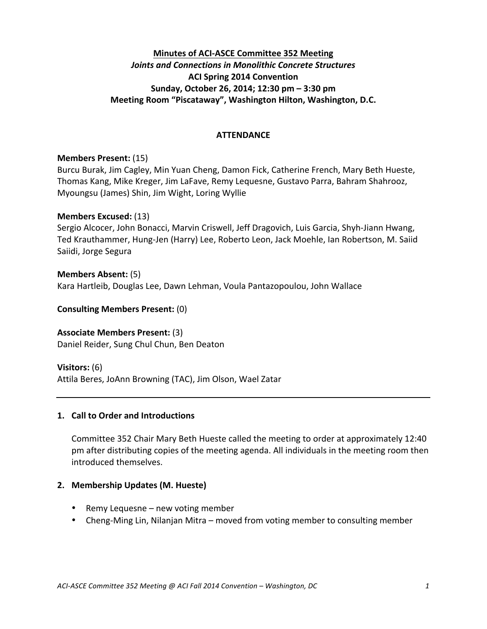## **Minutes of ACI-ASCE Committee 352 Meeting** *Joints and Connections in Monolithic Concrete Structures* **ACI Spring 2014 Convention Sunday, October 26, 2014; 12:30 pm – 3:30 pm Meeting Room "Piscataway", Washington Hilton, Washington, D.C.**

#### **ATTENDANCE**

#### **Members Present:** (15)

Burcu Burak, Jim Cagley, Min Yuan Cheng, Damon Fick, Catherine French, Mary Beth Hueste, Thomas Kang, Mike Kreger, Jim LaFave, Remy Lequesne, Gustavo Parra, Bahram Shahrooz, Myoungsu (James) Shin, Jim Wight, Loring Wyllie

#### **Members Excused:** (13)

Sergio Alcocer, John Bonacci, Marvin Criswell, Jeff Dragovich, Luis Garcia, Shyh-Jiann Hwang, Ted Krauthammer, Hung-Jen (Harry) Lee, Roberto Leon, Jack Moehle, Ian Robertson, M. Saiid Saiidi, Jorge Segura

#### **Members Absent:** (5)

Kara Hartleib, Douglas Lee, Dawn Lehman, Voula Pantazopoulou, John Wallace

#### **Consulting Members Present:** (0)

**Associate Members Present:** (3) Daniel Reider, Sung Chul Chun, Ben Deaton

**Visitors:** (6)

Attila Beres, JoAnn Browning (TAC), Jim Olson, Wael Zatar

#### **1. Call to Order and Introductions**

Committee 352 Chair Mary Beth Hueste called the meeting to order at approximately 12:40 pm after distributing copies of the meeting agenda. All individuals in the meeting room then introduced themselves.

#### **2. Membership Updates (M. Hueste)**

- Remy Lequesne  $-$  new voting member
- Cheng-Ming Lin, Nilanjan Mitra moved from voting member to consulting member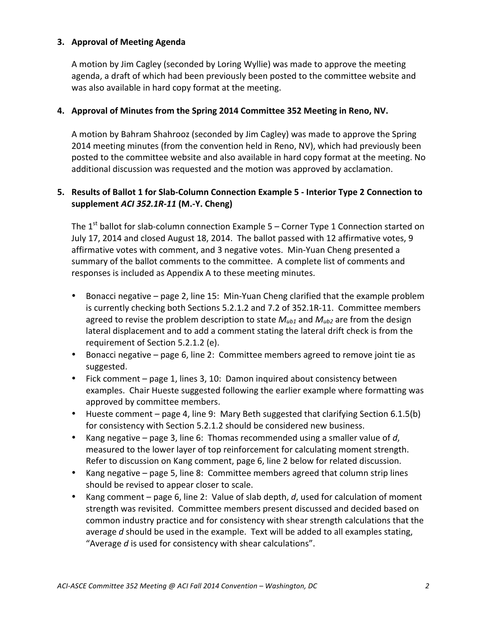#### **3. Approval of Meeting Agenda**

A motion by Jim Cagley (seconded by Loring Wyllie) was made to approve the meeting agenda, a draft of which had been previously been posted to the committee website and was also available in hard copy format at the meeting.

#### **4. Approval of Minutes from the Spring 2014 Committee 352 Meeting in Reno, NV.**

A motion by Bahram Shahrooz (seconded by Jim Cagley) was made to approve the Spring 2014 meeting minutes (from the convention held in Reno, NV), which had previously been posted to the committee website and also available in hard copy format at the meeting. No additional discussion was requested and the motion was approved by acclamation.

## 5. Results of Ballot 1 for Slab-Column Connection Example 5 - Interior Type 2 Connection to **supplement** *ACI 352.1R-11* **(M.-Y. Cheng)**

The  $1<sup>st</sup>$  ballot for slab-column connection Example 5 – Corner Type 1 Connection started on July 17, 2014 and closed August 18, 2014. The ballot passed with 12 affirmative votes, 9 affirmative votes with comment, and 3 negative votes. Min-Yuan Cheng presented a summary of the ballot comments to the committee. A complete list of comments and responses is included as Appendix A to these meeting minutes.

- Bonacci negative page 2, line 15: Min-Yuan Cheng clarified that the example problem is currently checking both Sections 5.2.1.2 and 7.2 of 352.1R-11. Committee members agreed to revise the problem description to state  $M_{ub1}$  and  $M_{ub2}$  are from the design lateral displacement and to add a comment stating the lateral drift check is from the requirement of Section 5.2.1.2 (e).
- Bonacci negative page 6, line 2: Committee members agreed to remove joint tie as suggested.
- Fick comment page 1, lines 3, 10: Damon inquired about consistency between examples. Chair Hueste suggested following the earlier example where formatting was approved by committee members.
- Hueste comment page 4, line 9: Mary Beth suggested that clarifying Section 6.1.5(b) for consistency with Section 5.2.1.2 should be considered new business.
- Kang negative  $-$  page 3, line 6: Thomas recommended using a smaller value of d, measured to the lower layer of top reinforcement for calculating moment strength. Refer to discussion on Kang comment, page 6, line 2 below for related discussion.
- Kang negative page 5, line 8: Committee members agreed that column strip lines should be revised to appear closer to scale.
- Kang comment page 6, line 2: Value of slab depth, *d*, used for calculation of moment strength was revisited. Committee members present discussed and decided based on common industry practice and for consistency with shear strength calculations that the average  $d$  should be used in the example. Text will be added to all examples stating, "Average *d* is used for consistency with shear calculations".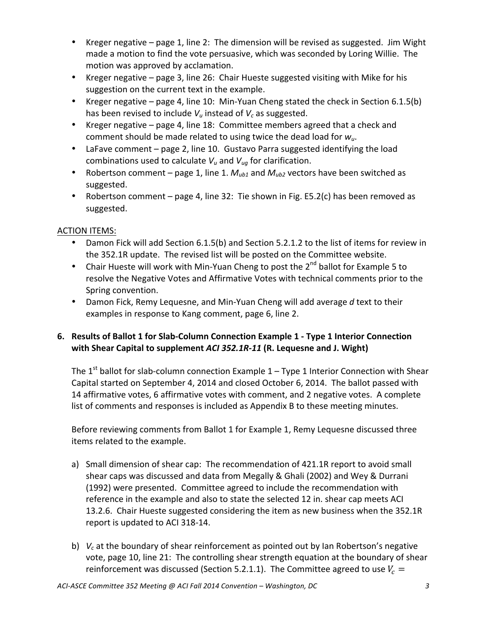- Kreger negative page 1, line 2: The dimension will be revised as suggested. Jim Wight made a motion to find the vote persuasive, which was seconded by Loring Willie. The motion was approved by acclamation.
- Kreger negative page 3, line 26: Chair Hueste suggested visiting with Mike for his suggestion on the current text in the example.
- Kreger negative page 4, line 10: Min-Yuan Cheng stated the check in Section 6.1.5(b) has been revised to include  $V_u$  instead of  $V_c$  as suggested.
- Kreger negative page 4, line 18: Committee members agreed that a check and comment should be made related to using twice the dead load for  $w_u$ .
- LaFave comment  $-$  page 2, line 10. Gustavo Parra suggested identifying the load combinations used to calculate  $V_u$  and  $V_{uq}$  for clarification.
- Robertson comment page 1, line 1.  $M_{ub1}$  and  $M_{ub2}$  vectors have been switched as suggested.
- Robertson comment  $-$  page 4, line 32: Tie shown in Fig. E5.2(c) has been removed as suggested.

# **ACTION ITEMS:**

- Damon Fick will add Section 6.1.5(b) and Section 5.2.1.2 to the list of items for review in the 352.1R update. The revised list will be posted on the Committee website.
- Chair Hueste will work with Min-Yuan Cheng to post the  $2^{nd}$  ballot for Example 5 to resolve the Negative Votes and Affirmative Votes with technical comments prior to the Spring convention.
- Damon Fick, Remy Lequesne, and Min-Yuan Cheng will add average d text to their examples in response to Kang comment, page 6, line 2.

# **6.** Results of Ballot 1 for Slab-Column Connection Example 1 - Type 1 Interior Connection with Shear Capital to supplement *ACI* 352.1R-11 (R. Lequesne and J. Wight)

The  $1^{st}$  ballot for slab-column connection Example  $1$  – Type 1 Interior Connection with Shear Capital started on September 4, 2014 and closed October 6, 2014. The ballot passed with 14 affirmative votes, 6 affirmative votes with comment, and 2 negative votes. A complete list of comments and responses is included as Appendix B to these meeting minutes.

Before reviewing comments from Ballot 1 for Example 1, Remy Lequesne discussed three items related to the example.

- a) Small dimension of shear cap: The recommendation of 421.1R report to avoid small shear caps was discussed and data from Megally & Ghali (2002) and Wey & Durrani (1992) were presented. Committee agreed to include the recommendation with reference in the example and also to state the selected 12 in. shear cap meets ACI 13.2.6. Chair Hueste suggested considering the item as new business when the 352.1R report is updated to ACI 318-14.
- b)  $V_c$  at the boundary of shear reinforcement as pointed out by Ian Robertson's negative vote, page 10, line 21: The controlling shear strength equation at the boundary of shear reinforcement was discussed (Section 5.2.1.1). The Committee agreed to use  $V_c =$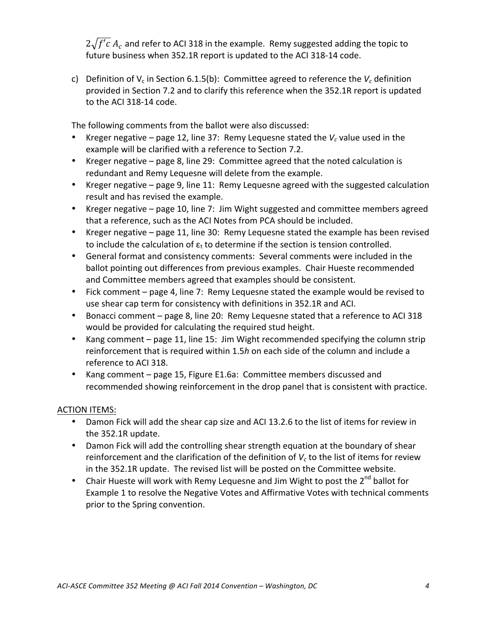$2\sqrt{f'c} A_c$  and refer to ACI 318 in the example. Remy suggested adding the topic to future business when 352.1R report is updated to the ACI 318-14 code.

c) Definition of  $V_c$  in Section 6.1.5(b): Committee agreed to reference the  $V_c$  definition provided in Section 7.2 and to clarify this reference when the 352.1R report is updated to the ACI 318-14 code.

The following comments from the ballot were also discussed:

- Kreger negative page 12, line 37: Remy Lequesne stated the  $V_c$  value used in the example will be clarified with a reference to Section 7.2.
- Kreger negative page 8, line 29: Committee agreed that the noted calculation is redundant and Remy Lequesne will delete from the example.
- Kreger negative page 9, line 11: Remy Lequesne agreed with the suggested calculation result and has revised the example.
- Kreger negative page 10, line 7: Jim Wight suggested and committee members agreed that a reference, such as the ACI Notes from PCA should be included.
- Kreger negative page 11, line 30: Remy Lequesne stated the example has been revised to include the calculation of  $\varepsilon_t$  to determine if the section is tension controlled.
- General format and consistency comments: Several comments were included in the ballot pointing out differences from previous examples. Chair Hueste recommended and Committee members agreed that examples should be consistent.
- Fick comment page 4, line 7: Remy Lequesne stated the example would be revised to use shear cap term for consistency with definitions in 352.1R and ACI.
- Bonacci comment page 8, line 20: Remy Lequesne stated that a reference to ACI 318 would be provided for calculating the required stud height.
- Kang comment page 11, line 15: Jim Wight recommended specifying the column strip reinforcement that is required within 1.5*h* on each side of the column and include a reference to ACI 318.
- Kang comment page 15, Figure E1.6a: Committee members discussed and recommended showing reinforcement in the drop panel that is consistent with practice.

## ACTION ITEMS:

- Damon Fick will add the shear cap size and ACI 13.2.6 to the list of items for review in the 352.1R update.
- Damon Fick will add the controlling shear strength equation at the boundary of shear reinforcement and the clarification of the definition of  $V_c$  to the list of items for review in the 352.1R update. The revised list will be posted on the Committee website.
- Chair Hueste will work with Remy Lequesne and Jim Wight to post the  $2^{nd}$  ballot for Example 1 to resolve the Negative Votes and Affirmative Votes with technical comments prior to the Spring convention.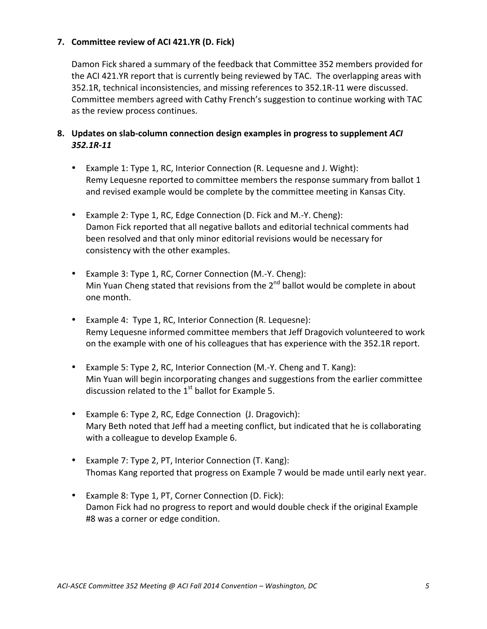### **7.** Committee review of ACI 421.YR (D. Fick)

Damon Fick shared a summary of the feedback that Committee 352 members provided for the ACI 421.YR report that is currently being reviewed by TAC. The overlapping areas with 352.1R, technical inconsistencies, and missing references to 352.1R-11 were discussed. Committee members agreed with Cathy French's suggestion to continue working with TAC as the review process continues.

## 8. Updates on slab-column connection design examples in progress to supplement *ACI 352.1R-11*

- Example 1: Type 1, RC, Interior Connection (R. Lequesne and J. Wight): Remy Lequesne reported to committee members the response summary from ballot 1 and revised example would be complete by the committee meeting in Kansas City.
- Example 2: Type 1, RC, Edge Connection (D. Fick and M.-Y. Cheng): Damon Fick reported that all negative ballots and editorial technical comments had been resolved and that only minor editorial revisions would be necessary for consistency with the other examples.
- Example 3: Type 1, RC, Corner Connection (M.-Y. Cheng): Min Yuan Cheng stated that revisions from the  $2^{nd}$  ballot would be complete in about one month.
- Example 4: Type 1, RC, Interior Connection (R. Lequesne): Remy Lequesne informed committee members that Jeff Dragovich volunteered to work on the example with one of his colleagues that has experience with the 352.1R report.
- Example 5: Type 2, RC, Interior Connection (M.-Y. Cheng and T. Kang): Min Yuan will begin incorporating changes and suggestions from the earlier committee discussion related to the  $1<sup>st</sup>$  ballot for Example 5.
- Example 6: Type 2, RC, Edge Connection (J. Dragovich): Mary Beth noted that Jeff had a meeting conflict, but indicated that he is collaborating with a colleague to develop Example 6.
- Example 7: Type 2, PT, Interior Connection (T. Kang): Thomas Kang reported that progress on Example 7 would be made until early next year.
- Example 8: Type 1, PT, Corner Connection (D. Fick): Damon Fick had no progress to report and would double check if the original Example #8 was a corner or edge condition.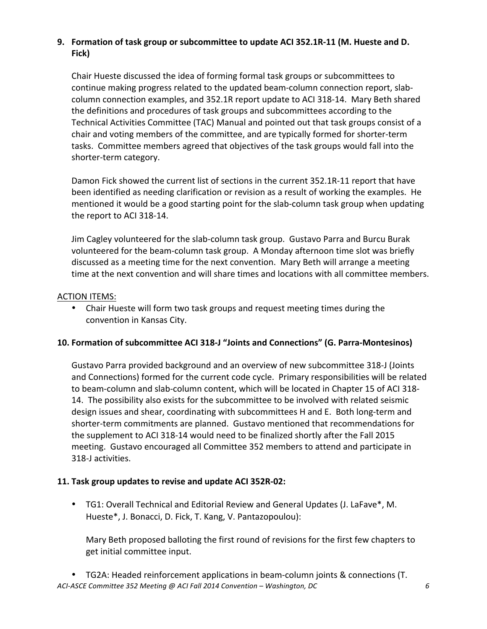# **9.** Formation of task group or subcommittee to update ACI 352.1R-11 (M. Hueste and D. **Fick)**

Chair Hueste discussed the idea of forming formal task groups or subcommittees to continue making progress related to the updated beam-column connection report, slabcolumn connection examples, and 352.1R report update to ACI 318-14. Mary Beth shared the definitions and procedures of task groups and subcommittees according to the Technical Activities Committee (TAC) Manual and pointed out that task groups consist of a chair and voting members of the committee, and are typically formed for shorter-term tasks. Committee members agreed that objectives of the task groups would fall into the shorter-term category.

Damon Fick showed the current list of sections in the current 352.1R-11 report that have been identified as needing clarification or revision as a result of working the examples. He mentioned it would be a good starting point for the slab-column task group when updating the report to ACI 318-14.

Jim Cagley volunteered for the slab-column task group. Gustavo Parra and Burcu Burak volunteered for the beam-column task group. A Monday afternoon time slot was briefly discussed as a meeting time for the next convention. Mary Beth will arrange a meeting time at the next convention and will share times and locations with all committee members.

## **ACTION ITEMS:**

Chair Hueste will form two task groups and request meeting times during the convention in Kansas City.

## **10. Formation of subcommittee ACI 318-J "Joints and Connections" (G. Parra-Montesinos)**

Gustavo Parra provided background and an overview of new subcommittee 318-J (Joints and Connections) formed for the current code cycle. Primary responsibilities will be related to beam-column and slab-column content, which will be located in Chapter 15 of ACI 318-14. The possibility also exists for the subcommittee to be involved with related seismic design issues and shear, coordinating with subcommittees H and E. Both long-term and shorter-term commitments are planned. Gustavo mentioned that recommendations for the supplement to ACI 318-14 would need to be finalized shortly after the Fall 2015 meeting. Gustavo encouraged all Committee 352 members to attend and participate in 318-J activities.

## **11.** Task group updates to revise and update ACI 352R-02:

• TG1: Overall Technical and Editorial Review and General Updates (J. LaFave\*, M. Hueste\*, J. Bonacci, D. Fick, T. Kang, V. Pantazopoulou):

Mary Beth proposed balloting the first round of revisions for the first few chapters to get initial committee input.

*ACI-ASCE Committee 352 Meeting @ ACI Fall 2014 Convention* – *Washington, DC* 66 • TG2A: Headed reinforcement applications in beam-column joints & connections (T.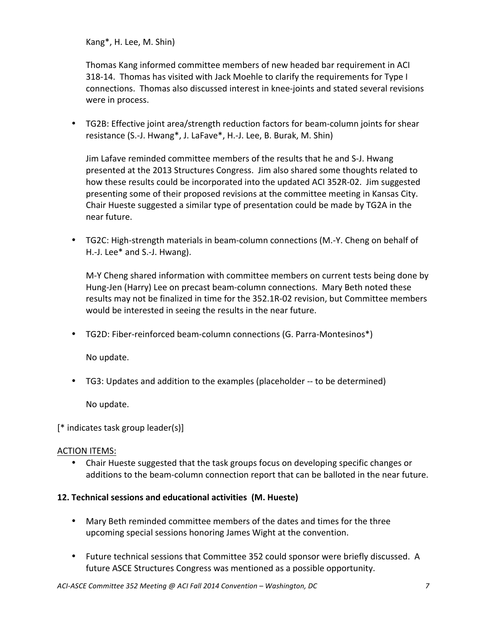Kang\*, H. Lee, M. Shin)

Thomas Kang informed committee members of new headed bar requirement in ACI 318-14. Thomas has visited with Jack Moehle to clarify the requirements for Type I connections. Thomas also discussed interest in knee-joints and stated several revisions were in process.

• TG2B: Effective joint area/strength reduction factors for beam-column joints for shear resistance (S.-J. Hwang\*, J. LaFave\*, H.-J. Lee, B. Burak, M. Shin)

Jim Lafave reminded committee members of the results that he and S-J. Hwang presented at the 2013 Structures Congress. Jim also shared some thoughts related to how these results could be incorporated into the updated ACI 352R-02. Jim suggested presenting some of their proposed revisions at the committee meeting in Kansas City. Chair Hueste suggested a similar type of presentation could be made by TG2A in the near future.

• TG2C: High-strength materials in beam-column connections (M.-Y. Cheng on behalf of H.-J. Lee\* and S.-J. Hwang).

M-Y Cheng shared information with committee members on current tests being done by Hung-Jen (Harry) Lee on precast beam-column connections. Mary Beth noted these results may not be finalized in time for the 352.1R-02 revision, but Committee members would be interested in seeing the results in the near future.

• TG2D: Fiber-reinforced beam-column connections (G. Parra-Montesinos\*)

No update.

• TG3: Updates and addition to the examples (placeholder -- to be determined)

No update.

[\* indicates task group leader(s)]

## **ACTION ITEMS:**

Chair Hueste suggested that the task groups focus on developing specific changes or additions to the beam-column connection report that can be balloted in the near future.

## **12. Technical sessions and educational activities (M. Hueste)**

- Mary Beth reminded committee members of the dates and times for the three upcoming special sessions honoring James Wight at the convention.
- Future technical sessions that Committee 352 could sponsor were briefly discussed. A future ASCE Structures Congress was mentioned as a possible opportunity.